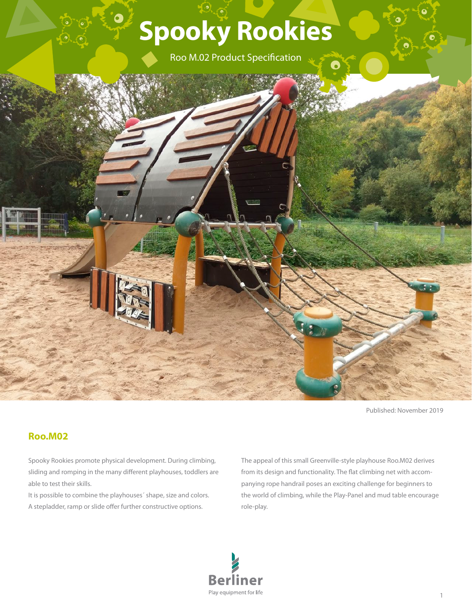# **Spooky Rookies**

Roo M.02 Product Specification

Published: November 2019

### **Roo.M02**

Spooky Rookies promote physical development. During climbing, sliding and romping in the many different playhouses, toddlers are able to test their skills.

It is possible to combine the playhouses´ shape, size and colors. A stepladder, ramp or slide offer further constructive options.

The appeal of this small Greenville-style playhouse Roo.M02 derives from its design and functionality. The flat climbing net with accompanying rope handrail poses an exciting challenge for beginners to the world of climbing, while the Play-Panel and mud table encourage role-play.